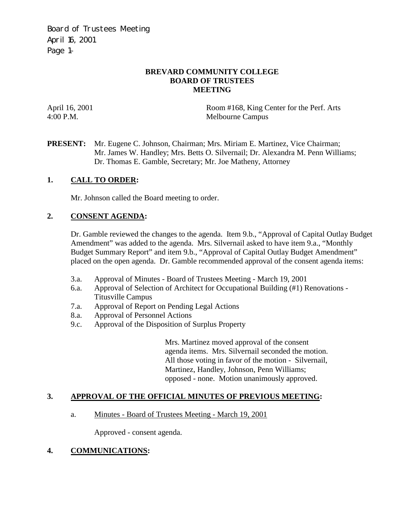Board of Trustees Meeting April 16, 2001 Page 1–

## **BREVARD COMMUNITY COLLEGE BOARD OF TRUSTEES MEETING**

April 16, 2001 Room #168, King Center for the Perf. Arts 4:00 P.M. Melbourne Campus

**PRESENT:** Mr. Eugene C. Johnson, Chairman; Mrs. Miriam E. Martinez, Vice Chairman; Mr. James W. Handley; Mrs. Betts O. Silvernail; Dr. Alexandra M. Penn Williams; Dr. Thomas E. Gamble, Secretary; Mr. Joe Matheny, Attorney

# **1. CALL TO ORDER:**

Mr. Johnson called the Board meeting to order.

# **2. CONSENT AGENDA:**

Dr. Gamble reviewed the changes to the agenda. Item 9.b., "Approval of Capital Outlay Budget Amendment" was added to the agenda. Mrs. Silvernail asked to have item 9.a., "Monthly Budget Summary Report" and item 9.b., "Approval of Capital Outlay Budget Amendment" placed on the open agenda. Dr. Gamble recommended approval of the consent agenda items:

- 3.a. Approval of Minutes Board of Trustees Meeting March 19, 2001
- 6.a. Approval of Selection of Architect for Occupational Building (#1) Renovations Titusville Campus
- 7.a. Approval of Report on Pending Legal Actions
- 8.a. Approval of Personnel Actions
- 9.c. Approval of the Disposition of Surplus Property

Mrs. Martinez moved approval of the consent agenda items. Mrs. Silvernail seconded the motion. All those voting in favor of the motion - Silvernail, Martinez, Handley, Johnson, Penn Williams; opposed - none. Motion unanimously approved.

#### **3. APPROVAL OF THE OFFICIAL MINUTES OF PREVIOUS MEETING:**

#### a. Minutes - Board of Trustees Meeting - March 19, 2001

Approved - consent agenda.

# **4. COMMUNICATIONS:**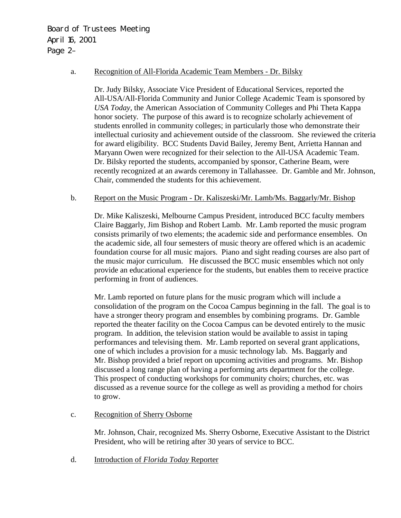Board of Trustees Meeting April 16, 2001 Page 2–

#### a. Recognition of All-Florida Academic Team Members - Dr. Bilsky

 Dr. Judy Bilsky, Associate Vice President of Educational Services, reported the All-USA/All-Florida Community and Junior College Academic Team is sponsored by *USA Today,* the American Association of Community Colleges and Phi Theta Kappa honor society. The purpose of this award is to recognize scholarly achievement of students enrolled in community colleges; in particularly those who demonstrate their intellectual curiosity and achievement outside of the classroom. She reviewed the criteria for award eligibility. BCC Students David Bailey, Jeremy Bent, Arrietta Hannan and Maryann Owen were recognized for their selection to the All-USA Academic Team. Dr. Bilsky reported the students, accompanied by sponsor, Catherine Beam, were recently recognized at an awards ceremony in Tallahassee. Dr. Gamble and Mr. Johnson, Chair, commended the students for this achievement.

#### b. Report on the Music Program - Dr. Kaliszeski/Mr. Lamb/Ms. Baggarly/Mr. Bishop

Dr. Mike Kaliszeski, Melbourne Campus President, introduced BCC faculty members Claire Baggarly, Jim Bishop and Robert Lamb. Mr. Lamb reported the music program consists primarily of two elements; the academic side and performance ensembles. On the academic side, all four semesters of music theory are offered which is an academic foundation course for all music majors. Piano and sight reading courses are also part of the music major curriculum. He discussed the BCC music ensembles which not only provide an educational experience for the students, but enables them to receive practice performing in front of audiences.

 Mr. Lamb reported on future plans for the music program which will include a consolidation of the program on the Cocoa Campus beginning in the fall. The goal is to have a stronger theory program and ensembles by combining programs. Dr. Gamble reported the theater facility on the Cocoa Campus can be devoted entirely to the music program. In addition, the television station would be available to assist in taping performances and televising them. Mr. Lamb reported on several grant applications, one of which includes a provision for a music technology lab. Ms. Baggarly and Mr. Bishop provided a brief report on upcoming activities and programs. Mr. Bishop discussed a long range plan of having a performing arts department for the college. This prospect of conducting workshops for community choirs; churches, etc. was discussed as a revenue source for the college as well as providing a method for choirs to grow.

#### c. Recognition of Sherry Osborne

Mr. Johnson, Chair, recognized Ms. Sherry Osborne, Executive Assistant to the District President, who will be retiring after 30 years of service to BCC.

d. Introduction of *Florida Today* Reporter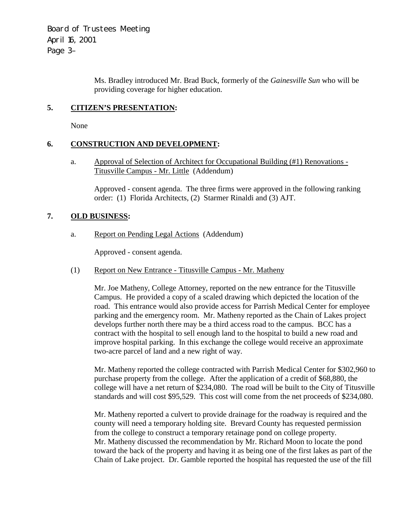Board of Trustees Meeting April 16, 2001 Page 3–

> Ms. Bradley introduced Mr. Brad Buck, formerly of the *Gainesville Sun* who will be providing coverage for higher education.

## **5. CITIZEN'S PRESENTATION:**

None

## **6. CONSTRUCTION AND DEVELOPMENT:**

a. Approval of Selection of Architect for Occupational Building (#1) Renovations - Titusville Campus - Mr. Little (Addendum)

Approved - consent agenda. The three firms were approved in the following ranking order: (1) Florida Architects, (2) Starmer Rinaldi and (3) AJT.

## **7. OLD BUSINESS:**

a. Report on Pending Legal Actions (Addendum)

Approved - consent agenda.

(1) Report on New Entrance - Titusville Campus - Mr. Matheny

Mr. Joe Matheny, College Attorney, reported on the new entrance for the Titusville Campus. He provided a copy of a scaled drawing which depicted the location of the road. This entrance would also provide access for Parrish Medical Center for employee parking and the emergency room. Mr. Matheny reported as the Chain of Lakes project develops further north there may be a third access road to the campus. BCC has a contract with the hospital to sell enough land to the hospital to build a new road and improve hospital parking. In this exchange the college would receive an approximate two-acre parcel of land and a new right of way.

Mr. Matheny reported the college contracted with Parrish Medical Center for \$302,960 to purchase property from the college. After the application of a credit of \$68,880, the college will have a net return of \$234,080. The road will be built to the City of Titusville standards and will cost \$95,529. This cost will come from the net proceeds of \$234,080.

Mr. Matheny reported a culvert to provide drainage for the roadway is required and the county will need a temporary holding site. Brevard County has requested permission from the college to construct a temporary retainage pond on college property. Mr. Matheny discussed the recommendation by Mr. Richard Moon to locate the pond toward the back of the property and having it as being one of the first lakes as part of the Chain of Lake project. Dr. Gamble reported the hospital has requested the use of the fill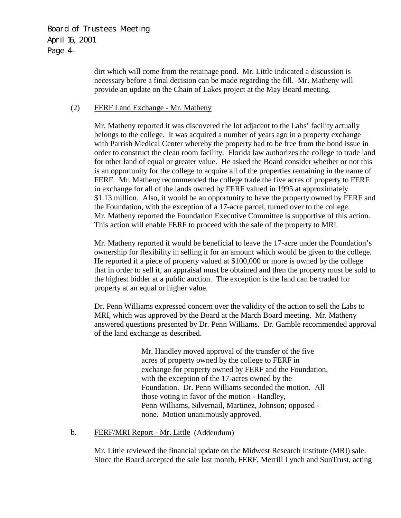dirt which will come from the retainage pond. Mr. Little indicated a discussion is necessary before a final decision can be made regarding the fill. Mr. Matheny will provide an update on the Chain of Lakes project at the May Board meeting.

## (2) FERF Land Exchange - Mr. Matheny

Mr. Matheny reported it was discovered the lot adjacent to the Labs' facility actually belongs to the college. It was acquired a number of years ago in a property exchange with Parrish Medical Center whereby the property had to be free from the bond issue in order to construct the clean room facility. Florida law authorizes the college to trade land for other land of equal or greater value. He asked the Board consider whether or not this is an opportunity for the college to acquire all of the properties remaining in the name of FERF. Mr. Matheny recommended the college trade the five acres of property to FERF in exchange for all of the lands owned by FERF valued in 1995 at approximately \$1.13 million. Also, it would be an opportunity to have the property owned by FERF and the Foundation, with the exception of a 17-acre parcel, turned over to the college. Mr. Matheny reported the Foundation Executive Committee is supportive of this action. This action will enable FERF to proceed with the sale of the property to MRI.

Mr. Matheny reported it would be beneficial to leave the 17-acre under the Foundation's ownership for flexibility in selling it for an amount which would be given to the college. He reported if a piece of property valued at \$100,000 or more is owned by the college that in order to sell it, an appraisal must be obtained and then the property must be sold to the highest bidder at a public auction. The exception is the land can be traded for property at an equal or higher value.

Dr. Penn Williams expressed concern over the validity of the action to sell the Labs to MRI, which was approved by the Board at the March Board meeting. Mr. Matheny answered questions presented by Dr. Penn Williams. Dr. Gamble recommended approval of the land exchange as described.

> Mr. Handley moved approval of the transfer of the five acres of property owned by the college to FERF in exchange for property owned by FERF and the Foundation, with the exception of the 17-acres owned by the Foundation. Dr. Penn Williams seconded the motion. All those voting in favor of the motion - Handley, Penn Williams, Silvernail, Martinez, Johnson; opposed none. Motion unanimously approved.

#### b. FERF/MRI Report - Mr. Little (Addendum)

Mr. Little reviewed the financial update on the Midwest Research Institute (MRI) sale. Since the Board accepted the sale last month, FERF, Merrill Lynch and SunTrust, acting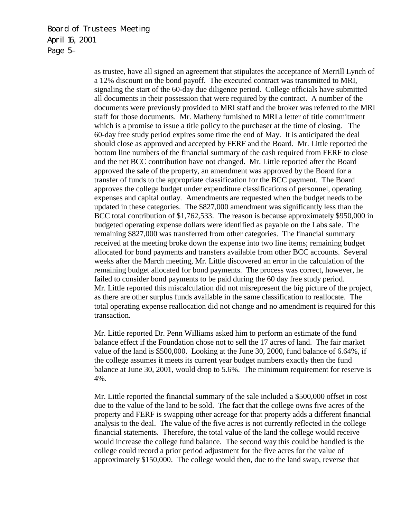Board of Trustees Meeting April 16, 2001 Page 5–

> as trustee, have all signed an agreement that stipulates the acceptance of Merrill Lynch of a 12% discount on the bond payoff. The executed contract was transmitted to MRI, signaling the start of the 60-day due diligence period. College officials have submitted all documents in their possession that were required by the contract. A number of the documents were previously provided to MRI staff and the broker was referred to the MRI staff for those documents. Mr. Matheny furnished to MRI a letter of title commitment which is a promise to issue a title policy to the purchaser at the time of closing. The 60-day free study period expires some time the end of May. It is anticipated the deal should close as approved and accepted by FERF and the Board. Mr. Little reported the bottom line numbers of the financial summary of the cash required from FERF to close and the net BCC contribution have not changed. Mr. Little reported after the Board approved the sale of the property, an amendment was approved by the Board for a transfer of funds to the appropriate classification for the BCC payment. The Board approves the college budget under expenditure classifications of personnel, operating expenses and capital outlay. Amendments are requested when the budget needs to be updated in these categories. The \$827,000 amendment was significantly less than the BCC total contribution of \$1,762,533. The reason is because approximately \$950,000 in budgeted operating expense dollars were identified as payable on the Labs sale. The remaining \$827,000 was transferred from other categories. The financial summary received at the meeting broke down the expense into two line items; remaining budget allocated for bond payments and transfers available from other BCC accounts. Several weeks after the March meeting, Mr. Little discovered an error in the calculation of the remaining budget allocated for bond payments. The process was correct, however, he failed to consider bond payments to be paid during the 60 day free study period. Mr. Little reported this miscalculation did not misrepresent the big picture of the project, as there are other surplus funds available in the same classification to reallocate. The total operating expense reallocation did not change and no amendment is required for this transaction.

Mr. Little reported Dr. Penn Williams asked him to perform an estimate of the fund balance effect if the Foundation chose not to sell the 17 acres of land. The fair market value of the land is \$500,000. Looking at the June 30, 2000, fund balance of 6.64%, if the college assumes it meets its current year budget numbers exactly then the fund balance at June 30, 2001, would drop to 5.6%. The minimum requirement for reserve is 4%.

Mr. Little reported the financial summary of the sale included a \$500,000 offset in cost due to the value of the land to be sold. The fact that the college owns five acres of the property and FERF is swapping other acreage for that property adds a different financial analysis to the deal. The value of the five acres is not currently reflected in the college financial statements. Therefore, the total value of the land the college would receive would increase the college fund balance. The second way this could be handled is the college could record a prior period adjustment for the five acres for the value of approximately \$150,000. The college would then, due to the land swap, reverse that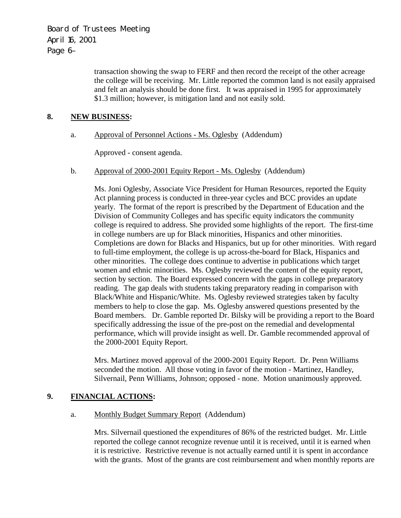Board of Trustees Meeting April 16, 2001 Page 6–

> transaction showing the swap to FERF and then record the receipt of the other acreage the college will be receiving. Mr. Little reported the common land is not easily appraised and felt an analysis should be done first. It was appraised in 1995 for approximately \$1.3 million; however, is mitigation land and not easily sold.

## **8. NEW BUSINESS:**

## a. Approval of Personnel Actions - Ms. Oglesby (Addendum)

Approved - consent agenda.

b. Approval of 2000-2001 Equity Report - Ms. Oglesby (Addendum)

Ms. Joni Oglesby, Associate Vice President for Human Resources, reported the Equity Act planning process is conducted in three-year cycles and BCC provides an update yearly. The format of the report is prescribed by the Department of Education and the Division of Community Colleges and has specific equity indicators the community college is required to address. She provided some highlights of the report. The first-time in college numbers are up for Black minorities, Hispanics and other minorities. Completions are down for Blacks and Hispanics, but up for other minorities. With regard to full-time employment, the college is up across-the-board for Black, Hispanics and other minorities. The college does continue to advertise in publications which target women and ethnic minorities. Ms. Oglesby reviewed the content of the equity report, section by section. The Board expressed concern with the gaps in college preparatory reading. The gap deals with students taking preparatory reading in comparison with Black/White and Hispanic/White. Ms. Oglesby reviewed strategies taken by faculty members to help to close the gap. Ms. Oglesby answered questions presented by the Board members. Dr. Gamble reported Dr. Bilsky will be providing a report to the Board specifically addressing the issue of the pre-post on the remedial and developmental performance, which will provide insight as well. Dr. Gamble recommended approval of the 2000-2001 Equity Report.

Mrs. Martinez moved approval of the 2000-2001 Equity Report. Dr. Penn Williams seconded the motion. All those voting in favor of the motion - Martinez, Handley, Silvernail, Penn Williams, Johnson; opposed - none. Motion unanimously approved.

## **9. FINANCIAL ACTIONS:**

## a. Monthly Budget Summary Report (Addendum)

Mrs. Silvernail questioned the expenditures of 86% of the restricted budget. Mr. Little reported the college cannot recognize revenue until it is received, until it is earned when it is restrictive. Restrictive revenue is not actually earned until it is spent in accordance with the grants. Most of the grants are cost reimbursement and when monthly reports are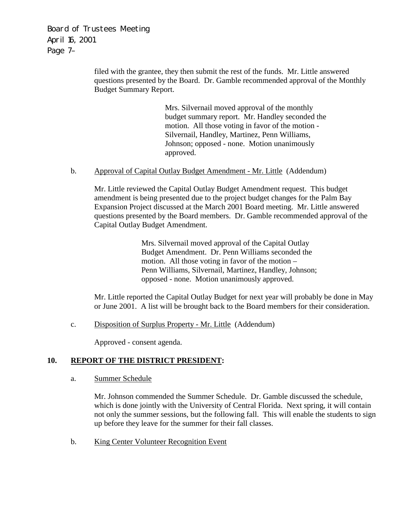Board of Trustees Meeting April 16, 2001 Page 7–

> filed with the grantee, they then submit the rest of the funds. Mr. Little answered questions presented by the Board. Dr. Gamble recommended approval of the Monthly Budget Summary Report.

> > Mrs. Silvernail moved approval of the monthly budget summary report. Mr. Handley seconded the motion. All those voting in favor of the motion - Silvernail, Handley, Martinez, Penn Williams, Johnson; opposed - none. Motion unanimously approved.

b. Approval of Capital Outlay Budget Amendment - Mr. Little (Addendum)

Mr. Little reviewed the Capital Outlay Budget Amendment request. This budget amendment is being presented due to the project budget changes for the Palm Bay Expansion Project discussed at the March 2001 Board meeting. Mr. Little answered questions presented by the Board members. Dr. Gamble recommended approval of the Capital Outlay Budget Amendment.

> Mrs. Silvernail moved approval of the Capital Outlay Budget Amendment. Dr. Penn Williams seconded the motion. All those voting in favor of the motion – Penn Williams, Silvernail, Martinez, Handley, Johnson; opposed - none. Motion unanimously approved.

 Mr. Little reported the Capital Outlay Budget for next year will probably be done in May or June 2001. A list will be brought back to the Board members for their consideration.

c. Disposition of Surplus Property - Mr. Little (Addendum)

Approved - consent agenda.

## **10. REPORT OF THE DISTRICT PRESIDENT:**

a. Summer Schedule

Mr. Johnson commended the Summer Schedule. Dr. Gamble discussed the schedule, which is done jointly with the University of Central Florida. Next spring, it will contain not only the summer sessions, but the following fall. This will enable the students to sign up before they leave for the summer for their fall classes.

b. King Center Volunteer Recognition Event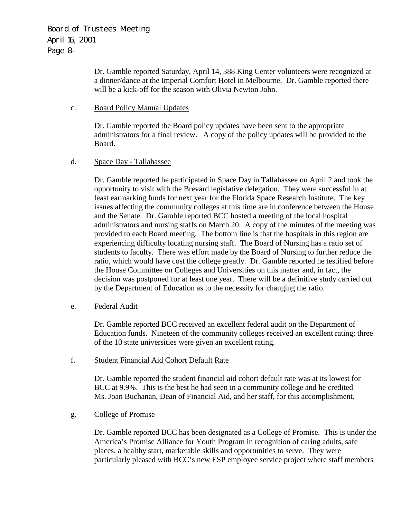Dr. Gamble reported Saturday, April 14, 388 King Center volunteers were recognized at a dinner/dance at the Imperial Comfort Hotel in Melbourne. Dr. Gamble reported there will be a kick-off for the season with Olivia Newton John.

### c. Board Policy Manual Updates

Dr. Gamble reported the Board policy updates have been sent to the appropriate administrators for a final review. A copy of the policy updates will be provided to the Board.

## d. Space Day - Tallahassee

Dr. Gamble reported he participated in Space Day in Tallahassee on April 2 and took the opportunity to visit with the Brevard legislative delegation. They were successful in at least earmarking funds for next year for the Florida Space Research Institute. The key issues affecting the community colleges at this time are in conference between the House and the Senate. Dr. Gamble reported BCC hosted a meeting of the local hospital administrators and nursing staffs on March 20. A copy of the minutes of the meeting was provided to each Board meeting. The bottom line is that the hospitals in this region are experiencing difficulty locating nursing staff. The Board of Nursing has a ratio set of students to faculty. There was effort made by the Board of Nursing to further reduce the ratio, which would have cost the college greatly. Dr. Gamble reported he testified before the House Committee on Colleges and Universities on this matter and, in fact, the decision was postponed for at least one year. There will be a definitive study carried out by the Department of Education as to the necessity for changing the ratio.

# e. Federal Audit

Dr. Gamble reported BCC received an excellent federal audit on the Department of Education funds. Nineteen of the community colleges received an excellent rating; three of the 10 state universities were given an excellent rating.

#### f. Student Financial Aid Cohort Default Rate

Dr. Gamble reported the student financial aid cohort default rate was at its lowest for BCC at 9.9%. This is the best he had seen in a community college and he credited Ms. Joan Buchanan, Dean of Financial Aid, and her staff, for this accomplishment.

#### g. College of Promise

Dr. Gamble reported BCC has been designated as a College of Promise. This is under the America's Promise Alliance for Youth Program in recognition of caring adults, safe places, a healthy start, marketable skills and opportunities to serve. They were particularly pleased with BCC's new ESP employee service project where staff members